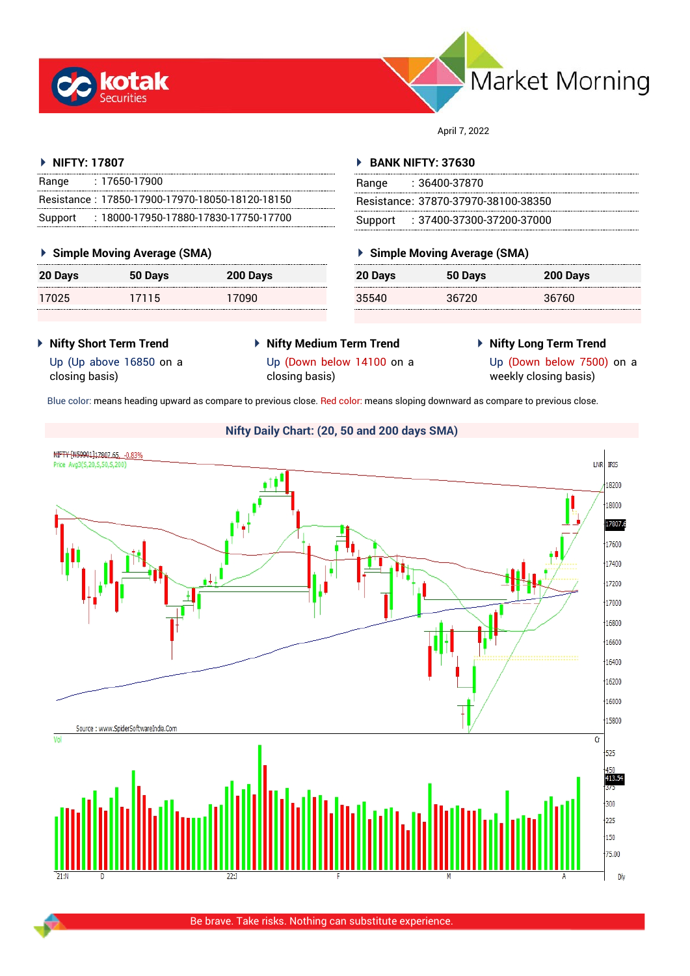



April 7, 2022

## **NIFTY: 17807**

| Range   | $: 17650 - 17900$                               |
|---------|-------------------------------------------------|
|         | Resistance: 17850-17900-17970-18050-18120-18150 |
| Support | $: 18000$ -17950-17880-17830-17750-17700        |

## **Simple Moving Average (SMA)**

| <b>20 Days</b> | 50 Days | 200 Days |
|----------------|---------|----------|
| 17025          | 17115   | 17090    |

## **BANK NIFTY: 37630**

| Range | : 36400-37870                       |
|-------|-------------------------------------|
|       | Resistance: 37870-37970-38100-38350 |
|       | Support : 37400-37300-37200-37000   |

## **Simple Moving Average (SMA)**

| 20 Days | 50 Days | 200 Days |
|---------|---------|----------|
| 35540   | 36720   | 36760    |

- **Nifty Short Term Trend**
- **Nifty Medium Term Trend** closing basis)
- **Nifty Long Term Trend**

Up (Up above 16850 on a closing basis)

Up (Down below 14100 on a

Up (Down below 7500) on a weekly closing basis)

Blue color: means heading upward as compare to previous close. Red color: means sloping downward as compare to previous close.

# **Nifty Daily Chart: (20, 50 and 200 days SMA)**NIFTY [N59901]17807.65, -0.839 LNR IRIS Price Avg3(S.20.S.50.S.200) 18200 18000 17807.6 17600 17400 17200 17000 16800 16600 16400 16200 16000 15800 Source: www.SpiderSoftwareIndia.Con Vo  $\overline{\mathsf{Cr}}$  $525$ 413.54 300  $225$  $150$ 75.00 Dly

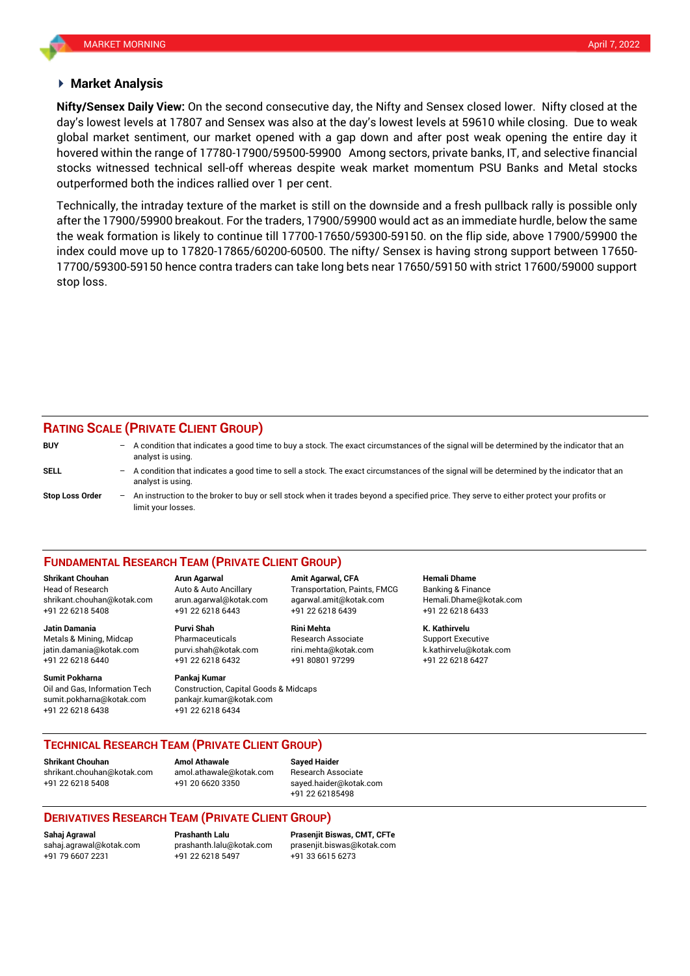## **Market Analysis**

day's lowest levels at 17807 and Sensex was also at the day's lowest levels at 59610 while closing. Due to weak **Nifty/Sensex Daily View:** On the second consecutive day, the Nifty and Sensex closed lower. Nifty closed at the global market sentiment, our market opened with a gap down and after post weak opening the entire day it hovered within the range of 17780-17900/59500-59900 Among sectors, private banks, IT, and selective financial stocks witnessed technical sell-off whereas despite weak market momentum PSU Banks and Metal stocks outperformed both the indices rallied over 1 per cent.

Technically, the intraday texture of the market is still on the downside and a fresh pullback rally is possible only after the 17900/59900 breakout. For the traders, 17900/59900 would act as an immediate hurdle, below the same the weak formation is likely to continue till 17700-17650/59300-59150. on the flip side, above 17900/59900 the index could move up to 17820-17865/60200-60500. The nifty/ Sensex is having strong support between 17650- 17700/59300-59150 hence contra traders can take long bets near 17650/59150 with strict 17600/59000 support stop loss.

## **RATING SCALE (PRIVATE CLIENT GROUP)**

**BUY** – A condition that indicates a good time to buy a stock. The exact circumstances of the signal will be determined by the indicator that an analyst is using. **SELL** – A condition that indicates a good time to sell a stock. The exact circumstances of the signal will be determined by the indicator that an analyst is using. **Stop Loss Order** – An instruction to the broker to buy or sell stock when it trades beyond a specified price. They serve to either protect your profits or limit your losses.

### **FUNDAMENTAL RESEARCH TEAM (PRIVATE CLIENT GROUP)**

Head of Research Auto & Auto Ancillary Transportation, Paints, FMCG Banking & Finance [shrikant.chouhan@kotak.com](mailto:shrikant.chouhan@kotak.com) arun.agarwal@kotak.com agarwal.amit@kotak.com Hemali.Dhame@kotak.com

**Jatin Damania Purvi Shah Rini Mehta K. Kathirvelu** Metals & Mining, Midcap Pharmaceuticals Research Associate Support Executive jatin.damania@kotak.com [purvi.shah@kotak.com](mailto:purvi.shah@kotak.com) rini.mehta@kotak.com [k.kathirvelu@kotak.com](mailto:k.kathirvelu@kotak.com) +91 22 6218 6440 +91 22 6218 6432 +91 80801 97299 +91 22 6218 6427

**Sumit Pokharna Pankaj Kumar** Oil and Gas, Information Tech Construction, Capital Goods & Midcaps

+91 22 6218 5408 +91 22 6218 6443 +91 22 6218 6439 +91 22 6218 6433

sumit.pokharna@kotak.com pankajr.kumar@kotak.com +91 22 6218 6438 +91 22 6218 6434

**Shrikant Chouhan Arun Agarwal Amit Agarwal, CFA Hemali Dhame**

## **TECHNICAL RESEARCH TEAM (PRIVATE CLIENT GROUP)**

**Shrikant Chouhan Amol Athawale Sayed Haider**

[shrikant.chouhan@kotak.com](mailto:shrikant.chouhan@kotak.com) [amol.athawale@kotak.com](mailto:amol.athawale@kotak.com) Research Associate +91 22 6218 5408 +91 20 6620 3350 [sayed.haider@kotak.com](mailto:sayed.haider@kotak.com)

+91 22 62185498

## **DERIVATIVES RESEARCH TEAM (PRIVATE CLIENT GROUP)**

+91 79 6607 2231 +91 22 6218 5497 +91 33 6615 6273

**Sahaj Agrawal Prashanth Lalu Prasenjit Biswas, CMT, CFTe** [sahaj.agrawal@kotak.com](mailto:sahaj.agrawal@kotak.com) [prashanth.lalu@kotak.com](mailto:prashanth.lalu@kotak.com) [prasenjit.biswas@kotak.com](mailto:prasenjit.biswas@kotak.com)